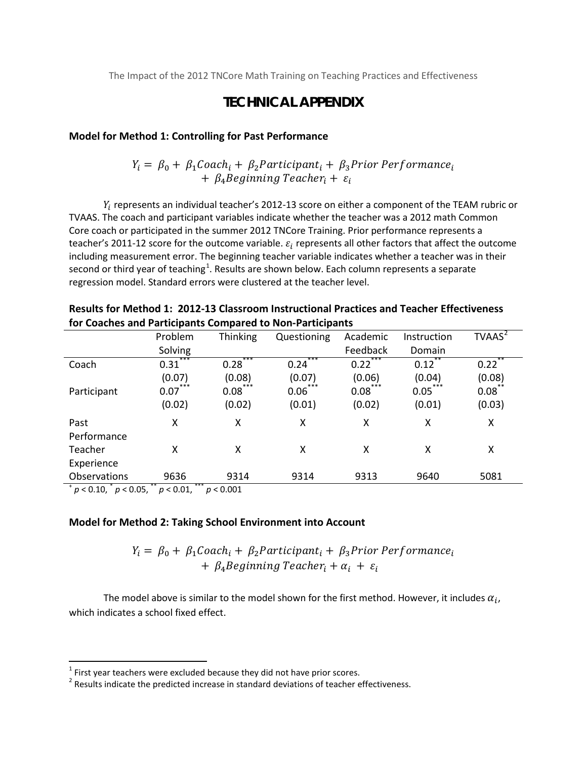The Impact of the 2012 TNCore Math Training on Teaching Practices and Effectiveness

## **TECHNICAL APPENDIX**

#### **Model for Method 1: Controlling for Past Performance**

 $Y_i = \beta_0 + \beta_1$ Coach<sub>i</sub> +  $\beta_2$ Participant<sub>i</sub> +  $\beta_3$ Prior Performance<sub>i</sub>  $+ \beta_4$  Beginning Teacher<sub>i</sub> +  $\varepsilon_i$ 

 $Y_i$  represents an individual teacher's 2012-13 score on either a component of the TEAM rubric or TVAAS. The coach and participant variables indicate whether the teacher was a 2012 math Common Core coach or participated in the summer 2012 TNCore Training. Prior performance represents a teacher's 2011-12 score for the outcome variable.  $\varepsilon_i$  represents all other factors that affect the outcome including measurement error. The beginning teacher variable indicates whether a teacher was in their second or third year of teaching<sup>[1](#page-0-0)</sup>. Results are shown below. Each column represents a separate regression model. Standard errors were clustered at the teacher level.

|                          | Problem     | <b>Thinking</b> | Questioning             | Academic    | Instruction   | TVAAS <sup>2</sup> |
|--------------------------|-------------|-----------------|-------------------------|-------------|---------------|--------------------|
|                          | Solving     |                 |                         | Feedback    | Domain        |                    |
| Coach                    | ***<br>0.31 | $***$<br>0.28   | $***$<br>0.24           | ***<br>0.22 | $***$<br>0.12 | **<br>$0.22^{*}$   |
|                          | (0.07)      | (0.08)          | (0.07)                  | (0.06)      | (0.04)        | (0.08)             |
| Participant              | ***<br>0.07 | ***<br>0.08     | ***<br>$0.06^{\degree}$ | ***<br>0.08 | ***<br>0.05   | 0.08               |
|                          | (0.02)      | (0.02)          | (0.01)                  | (0.02)      | (0.01)        | (0.03)             |
| Past                     | X           | X               | X                       | X           | X             | X                  |
| Performance              |             |                 |                         |             |               |                    |
| Teacher                  | X           | x               | X                       | X           | X             | X                  |
| Experience               |             |                 |                         |             |               |                    |
| Observations             | 9636        | 9314            | 9314                    | 9313        | 9640          | 5081               |
| $\overline{\phantom{a}}$ | ***<br>**   |                 |                         |             |               |                    |

**Results for Method 1: 2012-13 Classroom Instructional Practices and Teacher Effectiveness for Coaches and Participants Compared to Non-Participants**

<sup>+</sup> *p* < 0.10, \* *p* < 0.05, \*\* *p* < 0.01, \*\*\* *p* < 0.001

 $\overline{\phantom{a}}$ 

#### **Model for Method 2: Taking School Environment into Account**

 $Y_i = \beta_0 + \beta_1$ Coach<sub>i</sub> +  $\beta_2$ Participant<sub>i</sub> +  $\beta_3$ Prior Performance<sub>i</sub> +  $\beta_4$  Beginning Teacher<sub>i</sub> +  $\alpha_i$  +  $\varepsilon_i$ 

The model above is similar to the model shown for the first method. However, it includes  $\alpha_i$ , which indicates a school fixed effect.

<span id="page-0-0"></span> $<sup>1</sup>$  First year teachers were excluded because they did not have prior scores.</sup>

<span id="page-0-1"></span> $2$  Results indicate the predicted increase in standard deviations of teacher effectiveness.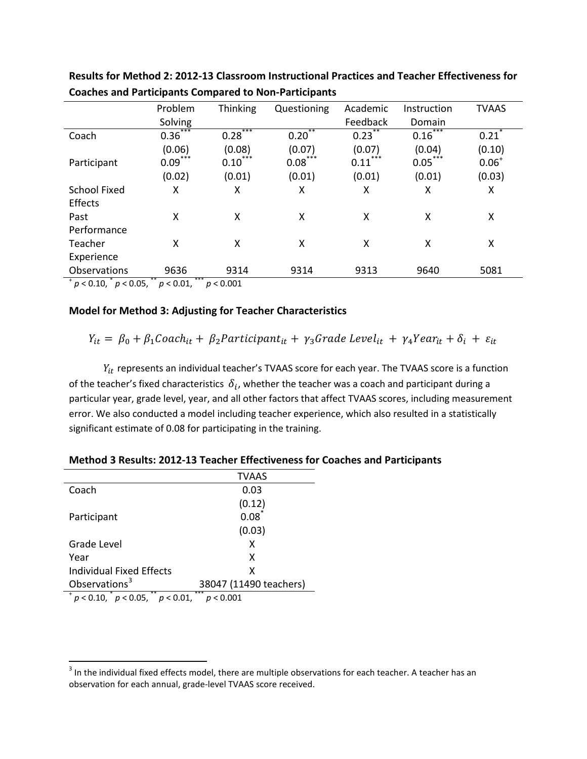|                                    | Problem                     | Thinking             | Questioning | Academic    | Instruction      | <b>TVAAS</b> |
|------------------------------------|-----------------------------|----------------------|-------------|-------------|------------------|--------------|
|                                    | Solving                     |                      |             | Feedback    | Domain           |              |
| Coach                              | $0.36^{^{\circ}}$           | ***<br>0.28          | $0.20^{1}$  | 0.23        | $0.16^{\degree}$ | 0.21         |
|                                    | (0.06)                      | (0.08)               | (0.07)      | (0.07)      | (0.04)           | (0.10)       |
| Participant                        | ***<br>0.09                 | ***<br>0.10          | ***<br>0.08 | ***<br>0.11 | ***<br>0.05      | $0.06^{+}$   |
|                                    | (0.02)                      | (0.01)               | (0.01)      | (0.01)      | (0.01)           | (0.03)       |
| <b>School Fixed</b>                | χ                           | X                    | X           | χ           | X                | χ            |
| Effects                            |                             |                      |             |             |                  |              |
| Past                               | X                           | X                    | χ           | X           | x                | X            |
| Performance                        |                             |                      |             |             |                  |              |
| Teacher                            | X                           | Χ                    | X           | x           | x                | χ            |
| Experience                         |                             |                      |             |             |                  |              |
| Observations                       | 9636                        | 9314                 | 9314        | 9313        | 9640             | 5081         |
| $\sim$ $\sim$ $\sim$ $\sim$ $\sim$ | ***<br>$\sim$ $\sim$ $\sim$ | $\sim$ $\sim$ $\sim$ |             |             |                  |              |

**Results for Method 2: 2012-13 Classroom Instructional Practices and Teacher Effectiveness for Coaches and Participants Compared to Non-Participants**

<sup>+</sup> *p* < 0.10, \* *p* < 0.05, \*\* *p* < 0.01, \*\*\* *p* < 0.001

#### **Model for Method 3: Adjusting for Teacher Characteristics**

 $Y_{it} = \beta_0 + \beta_1 \text{Coach}_{it} + \beta_2 \text{Participant}_{it} + \gamma_3 \text{Grade Level}_{it} + \gamma_4 \text{Year}_{it} + \delta_i + \varepsilon_{it}$ 

 $Y_{it}$  represents an individual teacher's TVAAS score for each year. The TVAAS score is a function of the teacher's fixed characteristics  $\delta_i$ , whether the teacher was a coach and participant during a particular year, grade level, year, and all other factors that affect TVAAS scores, including measurement error. We also conducted a model including teacher experience, which also resulted in a statistically significant estimate of 0.08 for participating in the training.

|                                        | <b>TVAAS</b>           |  |  |  |
|----------------------------------------|------------------------|--|--|--|
| Coach                                  | 0.03                   |  |  |  |
|                                        | (0.12)                 |  |  |  |
| Participant                            | 0.08                   |  |  |  |
|                                        | (0.03)                 |  |  |  |
| <b>Grade Level</b>                     | x                      |  |  |  |
| Year                                   | x                      |  |  |  |
| Individual Fixed Effects               | x                      |  |  |  |
| Observations <sup>3</sup>              | 38047 (11490 teachers) |  |  |  |
| $p < 0.10$ , $p < 0.05$ , $p < 0.01$ , | ***<br>p < 0.001       |  |  |  |

 $\overline{\phantom{a}}$ 

**Method 3 Results: 2012-13 Teacher Effectiveness for Coaches and Participants** 

<span id="page-1-0"></span><sup>&</sup>lt;sup>3</sup> In the individual fixed effects model, there are multiple observations for each teacher. A teacher has an observation for each annual, grade-level TVAAS score received.